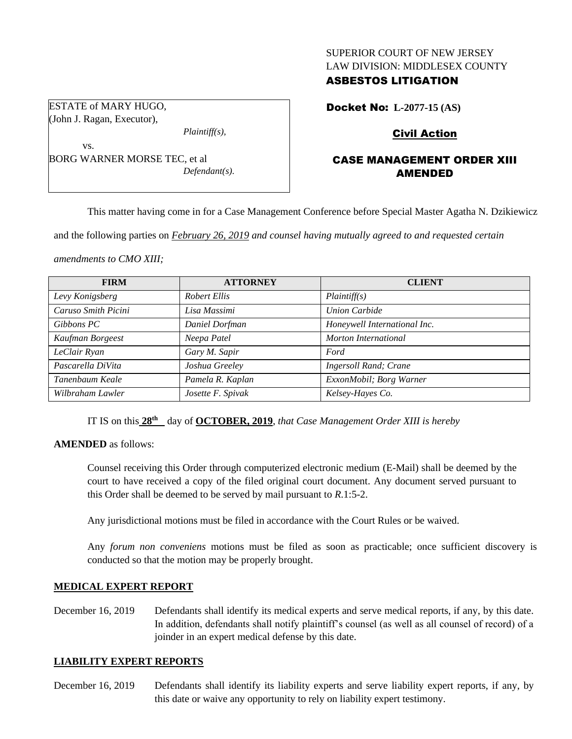### SUPERIOR COURT OF NEW JERSEY LAW DIVISION: MIDDLESEX COUNTY

## ASBESTOS LITIGATION

ESTATE of MARY HUGO, (John J. Ragan, Executor),

*Plaintiff(s),*

vs. BORG WARNER MORSE TEC, et al *Defendant(s).* Docket No: **L-2077-15 (AS)** 

# Civil Action

# CASE MANAGEMENT ORDER XIII AMENDED

This matter having come in for a Case Management Conference before Special Master Agatha N. Dzikiewicz

and the following parties on *February 26, 2019 and counsel having mutually agreed to and requested certain* 

*amendments to CMO XIII;*

| <b>FIRM</b>         | <b>ATTORNEY</b>   | <b>CLIENT</b>                 |
|---------------------|-------------------|-------------------------------|
| Levy Konigsberg     | Robert Ellis      | Plaintiff(s)                  |
| Caruso Smith Picini | Lisa Massimi      | <b>Union Carbide</b>          |
| Gibbons PC          | Daniel Dorfman    | Honeywell International Inc.  |
| Kaufman Borgeest    | Neepa Patel       | Morton International          |
| LeClair Ryan        | Gary M. Sapir     | Ford                          |
| Pascarella DiVita   | Joshua Greeley    | <b>Ingersoll Rand</b> ; Crane |
| Tanenbaum Keale     | Pamela R. Kaplan  | ExxonMobil; Borg Warner       |
| Wilbraham Lawler    | Josette F. Spivak | Kelsey-Hayes Co.              |

IT IS on this **28th** day of **OCTOBER, 2019**, *that Case Management Order XIII is hereby*

**AMENDED** as follows:

Counsel receiving this Order through computerized electronic medium (E-Mail) shall be deemed by the court to have received a copy of the filed original court document. Any document served pursuant to this Order shall be deemed to be served by mail pursuant to *R*.1:5-2.

Any jurisdictional motions must be filed in accordance with the Court Rules or be waived.

Any *forum non conveniens* motions must be filed as soon as practicable; once sufficient discovery is conducted so that the motion may be properly brought.

#### **MEDICAL EXPERT REPORT**

December 16, 2019 Defendants shall identify its medical experts and serve medical reports, if any, by this date. In addition, defendants shall notify plaintiff's counsel (as well as all counsel of record) of a joinder in an expert medical defense by this date.

#### **LIABILITY EXPERT REPORTS**

December 16, 2019 Defendants shall identify its liability experts and serve liability expert reports, if any, by this date or waive any opportunity to rely on liability expert testimony.